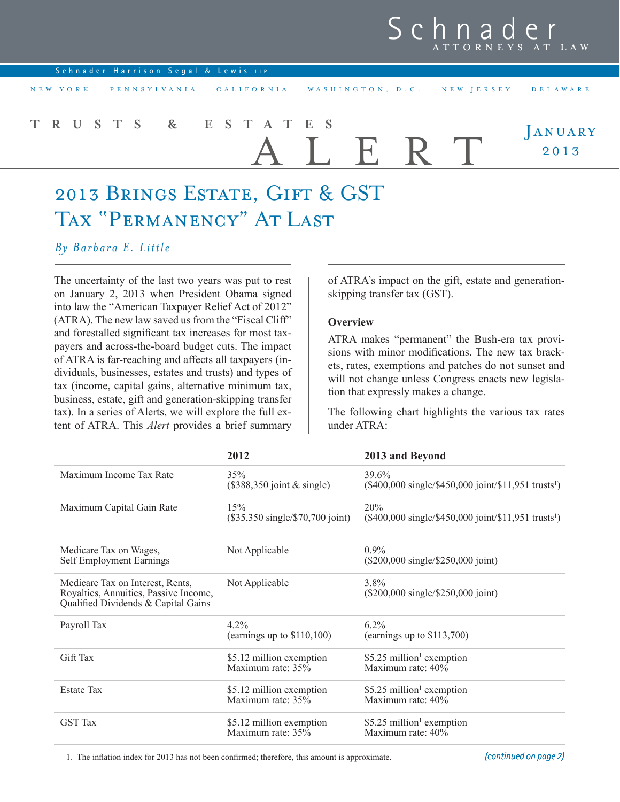## Sch ATTORNEYS AT LAW

| Schnader Harrison Segal & Lewis LLP |                                                              |                 |
|-------------------------------------|--------------------------------------------------------------|-----------------|
| NEW YORK                            | PENNSYLVANIA CALIFORNIA WASHINGTON, D.C. NEW JERSEY DELAWARE |                 |
| TRUSTS & ESTATES                    | ALERT                                                        | JANUARY<br>2013 |

# 2013 Brings Estate, Gift & GST TAX "PERMANENCY" AT LAST

*By Barbara E. Little*

The uncertainty of the last two years was put to rest on January 2, 2013 when President Obama signed into law the "American Taxpayer Relief Act of 2012" (ATRA). The new law saved us from the "Fiscal Cliff" and forestalled significant tax increases for most taxpayers and across-the-board budget cuts. The impact of ATRA is far-reaching and affects all taxpayers (individuals, businesses, estates and trusts) and types of tax (income, capital gains, alternative minimum tax, business, estate, gift and generation-skipping transfer tax). In a series of Alerts, we will explore the full extent of ATRA. This *Alert* provides a brief summary of ATRA's impact on the gift, estate and generationskipping transfer tax (GST).

#### **Overview**

ATRA makes "permanent" the Bush-era tax provisions with minor modifications. The new tax brackets, rates, exemptions and patches do not sunset and will not change unless Congress enacts new legislation that expressly makes a change.

The following chart highlights the various tax rates under ATRA:

|                                                                                                                  | 2012                                                              | 2013 and Beyond                                                                         |
|------------------------------------------------------------------------------------------------------------------|-------------------------------------------------------------------|-----------------------------------------------------------------------------------------|
| Maximum Income Tax Rate                                                                                          | 35%<br>$(\$388,350$ joint & single)                               | $39.6\%$<br>$(\$400,000 \text{ single}$ /\$450,000 joint/\$11,951 trusts <sup>1</sup> ) |
| Maximum Capital Gain Rate                                                                                        | 15%<br>$(\$35,350 \text{ single} \text{/} $70,700 \text{ joint})$ | 20%<br>$(\$400,000 \text{ single}$ /\$450,000 joint/\$11,951 trusts <sup>1</sup> )      |
| Medicare Tax on Wages,<br>Self Employment Earnings                                                               | Not Applicable                                                    | $0.9\%$<br>(\$200,000 single/\$250,000 joint)                                           |
| Medicare Tax on Interest, Rents,<br>Royalties, Annuities, Passive Income,<br>Qualified Dividends & Capital Gains | Not Applicable                                                    | $3.8\%$<br>(\$200,000 single/\$250,000 joint)                                           |
| Payroll Tax                                                                                                      | $4.2\%$<br>(earnings up to $$110,100$ )                           | $6.2\%$<br>(earnings up to $$113,700$ )                                                 |
| Gift Tax                                                                                                         | \$5.12 million exemption<br>Maximum rate: 35%                     | \$5.25 million <sup>1</sup> exemption<br>Maximum rate: $40\%$                           |
| <b>Estate Tax</b>                                                                                                | \$5.12 million exemption<br>Maximum rate: $35\%$                  | \$5.25 million <sup>1</sup> exemption<br>Maximum rate: 40%                              |
| <b>GST</b> Tax                                                                                                   | \$5.12 million exemption<br>Maximum rate: 35%                     | \$5.25 million <sup>1</sup> exemption<br>Maximum rate: 40%                              |

1. The inflation index for 2013 has not been confirmed; therefore, this amount is approximate.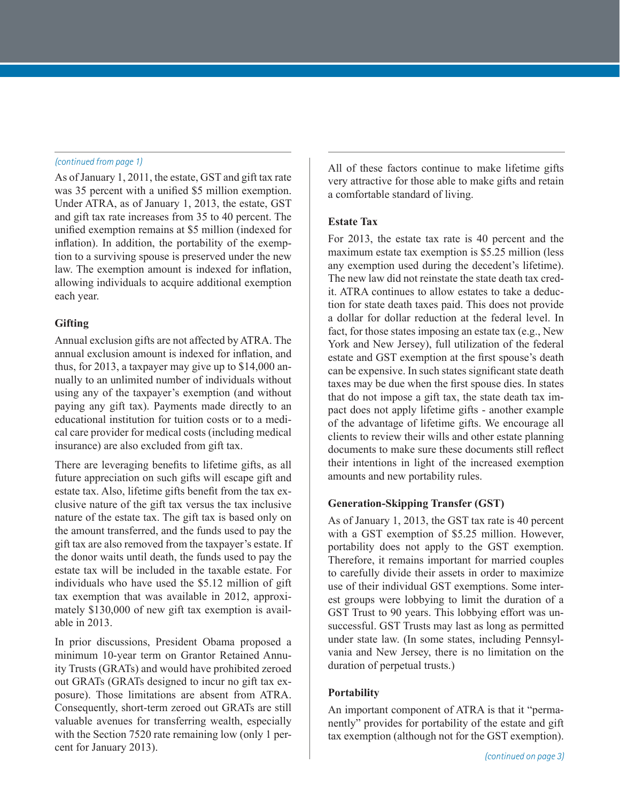As of January 1, 2011, the estate, GST and gift tax rate was 35 percent with a unified \$5 million exemption. Under ATRA, as of January 1, 2013, the estate, GST and gift tax rate increases from 35 to 40 percent. The unified exemption remains at \$5 million (indexed for inflation). In addition, the portability of the exemption to a surviving spouse is preserved under the new law. The exemption amount is indexed for inflation, allowing individuals to acquire additional exemption each year.

#### **Gifting**

Annual exclusion gifts are not affected by ATRA. The annual exclusion amount is indexed for inflation, and thus, for 2013, a taxpayer may give up to \$14,000 annually to an unlimited number of individuals without using any of the taxpayer's exemption (and without paying any gift tax). Payments made directly to an educational institution for tuition costs or to a medical care provider for medical costs (including medical insurance) are also excluded from gift tax.

There are leveraging benefits to lifetime gifts, as all future appreciation on such gifts will escape gift and estate tax. Also, lifetime gifts benefit from the tax exclusive nature of the gift tax versus the tax inclusive nature of the estate tax. The gift tax is based only on the amount transferred, and the funds used to pay the gift tax are also removed from the taxpayer's estate. If the donor waits until death, the funds used to pay the estate tax will be included in the taxable estate. For individuals who have used the \$5.12 million of gift tax exemption that was available in 2012, approximately \$130,000 of new gift tax exemption is available in 2013.

In prior discussions, President Obama proposed a minimum 10-year term on Grantor Retained Annuity Trusts (GRATs) and would have prohibited zeroed out GRATs (GRATs designed to incur no gift tax exposure). Those limitations are absent from ATRA. Consequently, short-term zeroed out GRATs are still valuable avenues for transferring wealth, especially with the Section 7520 rate remaining low (only 1 percent for January 2013).

*(continued from page 1)* All of these factors continue to make lifetime gifts very attractive for those able to make gifts and retain a comfortable standard of living.

#### **Estate Tax**

For 2013, the estate tax rate is 40 percent and the maximum estate tax exemption is \$5.25 million (less any exemption used during the decedent's lifetime). The new law did not reinstate the state death tax credit. ATRA continues to allow estates to take a deduction for state death taxes paid. This does not provide a dollar for dollar reduction at the federal level. In fact, for those states imposing an estate tax (e.g., New York and New Jersey), full utilization of the federal estate and GST exemption at the first spouse's death can be expensive. In such states significant state death taxes may be due when the first spouse dies. In states that do not impose a gift tax, the state death tax impact does not apply lifetime gifts - another example of the advantage of lifetime gifts. We encourage all clients to review their wills and other estate planning documents to make sure these documents still reflect their intentions in light of the increased exemption amounts and new portability rules.

### **Generation-Skipping Transfer (GST)**

As of January 1, 2013, the GST tax rate is 40 percent with a GST exemption of \$5.25 million. However, portability does not apply to the GST exemption. Therefore, it remains important for married couples to carefully divide their assets in order to maximize use of their individual GST exemptions. Some interest groups were lobbying to limit the duration of a GST Trust to 90 years. This lobbying effort was unsuccessful. GST Trusts may last as long as permitted under state law. (In some states, including Pennsylvania and New Jersey, there is no limitation on the duration of perpetual trusts.)

#### **Portability**

An important component of ATRA is that it "permanently" provides for portability of the estate and gift tax exemption (although not for the GST exemption).